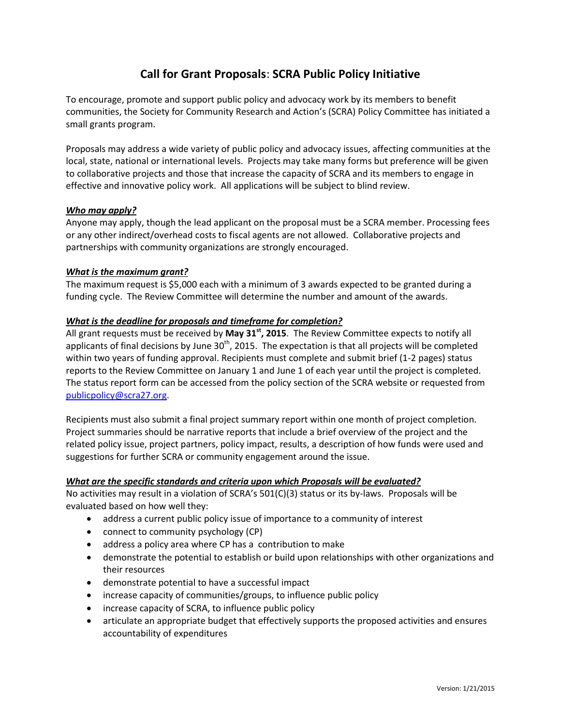# **Call for Grant Proposals**: **SCRA Public Policy Initiative**

To encourage, promote and support public policy and advocacy work by its members to benefit communities, the Society for Community Research and Action's (SCRA) Policy Committee has initiated a small grants program.

Proposals may address a wide variety of public policy and advocacy issues, affecting communities at the local, state, national or international levels. Projects may take many forms but preference will be given to collaborative projects and those that increase the capacity of SCRA and its members to engage in effective and innovative policy work. All applications will be subject to blind review.

# *Who may apply?*

Anyone may apply, though the lead applicant on the proposal must be a SCRA member. Processing fees or any other indirect/overhead costs to fiscal agents are not allowed. Collaborative projects and partnerships with community organizations are strongly encouraged.

## *What is the maximum grant?*

The maximum request is \$5,000 each with a minimum of 3 awards expected to be granted during a funding cycle. The Review Committee will determine the number and amount of the awards.

## *What is the deadline for proposals and timeframe for completion?*

All grant requests must be received by **May 31st, 2015**. The Review Committee expects to notify all applicants of final decisions by June  $30<sup>th</sup>$ , 2015. The expectation is that all projects will be completed within two years of funding approval. Recipients must complete and submit brief (1-2 pages) status reports to the Review Committee on January 1 and June 1 of each year until the project is completed. The status report form can be accessed from the policy section of the SCRA website or requested from [publicpolicy@scra27.org.](mailto:mstrompolis@gmail.com)

Recipients must also submit a final project summary report within one month of project completion. Project summaries should be narrative reports that include a brief overview of the project and the related policy issue, project partners, policy impact, results, a description of how funds were used and suggestions for further SCRA or community engagement around the issue.

#### *What are the specific standards and criteria upon which Proposals will be evaluated?*

No activities may result in a violation of SCRA's 501(C)(3) status or its by-laws. Proposals will be evaluated based on how well they:

- address a current public policy issue of importance to a community of interest
- connect to community psychology (CP)
- address a policy area where CP has a contribution to make
- demonstrate the potential to establish or build upon relationships with other organizations and their resources
- demonstrate potential to have a successful impact
- increase capacity of communities/groups, to influence public policy
- increase capacity of SCRA, to influence public policy
- articulate an appropriate budget that effectively supports the proposed activities and ensures accountability of expenditures